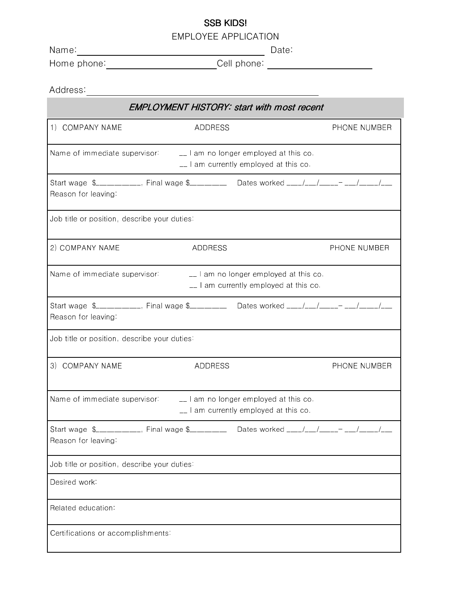## SSB KIDS!

EMPLOYEE APPLICATION

Name: Contract the Contract of the Date: Date:

Home phone: Cell phone:

| Address:                                                                                                    |         |                                                                                           |  |              |  |  |
|-------------------------------------------------------------------------------------------------------------|---------|-------------------------------------------------------------------------------------------|--|--------------|--|--|
| <b>EMPLOYMENT HISTORY: start with most recent</b>                                                           |         |                                                                                           |  |              |  |  |
| 1) COMPANY NAME                                                                                             | ADDRESS |                                                                                           |  | PHONE NUMBER |  |  |
| Name of immediate supervisor: $\Box$ am no longer employed at this co.                                      |         | _I am currently employed at this co.                                                      |  |              |  |  |
| Start wage \$__________, Final wage \$__________ Dates worked ___/__/___- __/___/_<br>Reason for leaving    |         |                                                                                           |  |              |  |  |
| Job title or position, describe your duties:                                                                |         |                                                                                           |  |              |  |  |
| 2) COMPANY NAME                                                                                             | ADDRESS |                                                                                           |  | PHONE NUMBER |  |  |
| Name of immediate supervisor:                                                                               |         | $\mathcal{L}$ am no longer employed at this co.<br>__ I am currently employed at this co. |  |              |  |  |
| Start wage \$__________, Final wage \$__________ Dates worked ___/__/___- __/____/<br>Reason for leaving    |         |                                                                                           |  |              |  |  |
| Job title or position, describe your duties:                                                                |         |                                                                                           |  |              |  |  |
| 3) COMPANY NAME                                                                                             | ADDRESS |                                                                                           |  | PHONE NUMBER |  |  |
| Name of immediate supervisor __ l am no longer employed at this co.                                         |         | $\perp$ am currently employed at this co.                                                 |  |              |  |  |
| Start wage \$__________, Final wage \$___________ Dates worked ___/__/___- __/___/__<br>Reason for leaving: |         |                                                                                           |  |              |  |  |
| Job title or position, describe your duties:                                                                |         |                                                                                           |  |              |  |  |
| Desired work                                                                                                |         |                                                                                           |  |              |  |  |
| Related education:                                                                                          |         |                                                                                           |  |              |  |  |
| Certifications or accomplishments:                                                                          |         |                                                                                           |  |              |  |  |